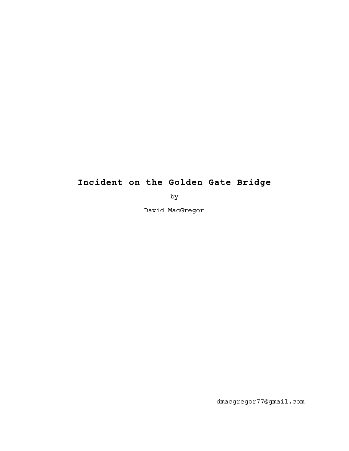# **Incident on the Golden Gate Bridge**

by

David MacGregor

dmacgregor77@gmail.com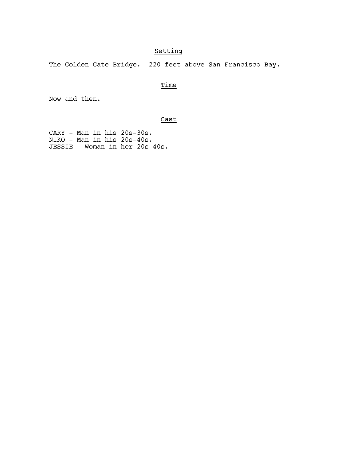# Setting

The Golden Gate Bridge. 220 feet above San Francisco Bay.

# Time

Now and then.

Cast

 CARY - Man in his 20s-30s. NIKO - Man in his 20s-40s. JESSIE - Woman in her 20s-40s.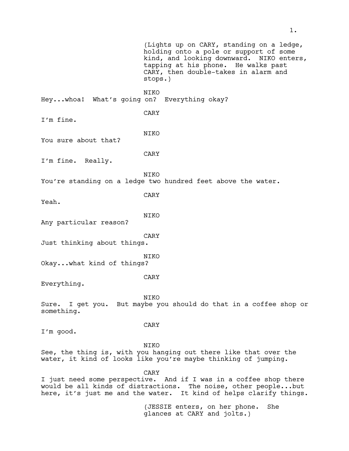(Lights up on CARY, standing on a ledge, holding onto a pole or support of some kind, and looking downward. NIKO enters, tapping at his phone. He walks past CARY, then double-takes in alarm and stops.) NIKO Hey...whoa! What's going on? Everything okay? CARY I'm fine. NIKO You sure about that? CARY I'm fine. Really. NIKO You're standing on a ledge two hundred feet above the water. CARY Yeah. NIKO Any particular reason? CARY Just thinking about things. NIKO Okay...what kind of things? CARY Everything. NIKO Sure. I get you. But maybe you should do that in a coffee shop or something. CARY I'm good. NIKO See, the thing is, with you hanging out there like that over the water, it kind of looks like you're maybe thinking of jumping. CARY I just need some perspective. And if I was in a coffee shop there would be all kinds of distractions. The noise, other people...but

here, it's just me and the water. It kind of helps clarify things.

(JESSIE enters, on her phone. She glances at CARY and jolts.)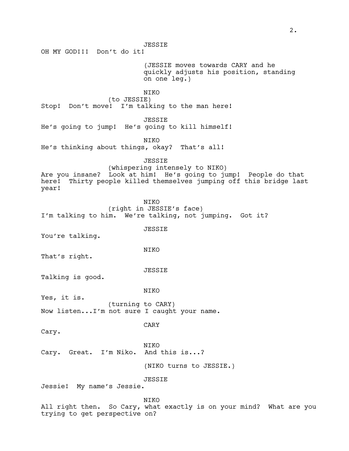JESSIE OH MY GOD!!! Don't do it! (JESSIE moves towards CARY and he quickly adjusts his position, standing on one leg.) NIKO (to JESSIE) Stop! Don't move! I'm talking to the man here! JESSIE He's going to jump! He's going to kill himself! **NTKO** He's thinking about things, okay? That's all! JESSIE (whispering intensely to NIKO) Are you insane? Look at him! He's going to jump! People do that here! Thirty people killed themselves jumping off this bridge last year! **NTKO** (right in JESSIE's face) I'm talking to him. We're talking, not jumping. Got it? JESSIE You're talking. NIKO That's right. JESSIE Talking is good. NIKO Yes, it is. (turning to CARY) Now listen...I'm not sure I caught your name. CARY Cary. NIKO Cary. Great. I'm Niko. And this is...? (NIKO turns to JESSIE.) JESSIE Jessie! My name's Jessie. NIKO All right then. So Cary, what exactly is on your mind? What are you trying to get perspective on?

2.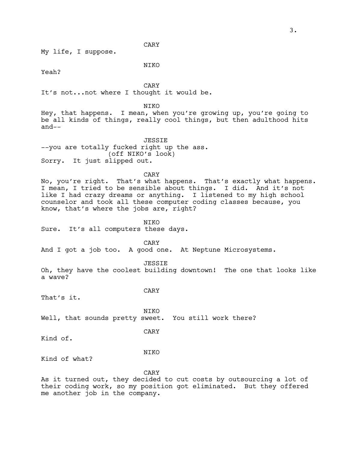My life, I suppose.

NIKO

Yeah?

CARY

It's not...not where I thought it would be.

NIKO

Hey, that happens. I mean, when you're growing up, you're going to be all kinds of things, really cool things, but then adulthood hits  $and--$ 

**JESSIE** --you are totally fucked right up the ass. (off NIKO's look) Sorry. It just slipped out.

CARY

No, you're right. That's what happens. That's exactly what happens. I mean, I tried to be sensible about things. I did. And it's not like I had crazy dreams or anything. I listened to my high school counselor and took all these computer coding classes because, you know, that's where the jobs are, right?

NIKO Sure. It's all computers these days.

CARY

And I got a job too. A good one. At Neptune Microsystems.

JESSIE

Oh, they have the coolest building downtown! The one that looks like a wave?

CARY

That's it.

NIKO Well, that sounds pretty sweet. You still work there?

CARY

Kind of.

**NTKO** 

Kind of what?

CARY

As it turned out, they decided to cut costs by outsourcing a lot of their coding work, so my position got eliminated. But they offered me another job in the company.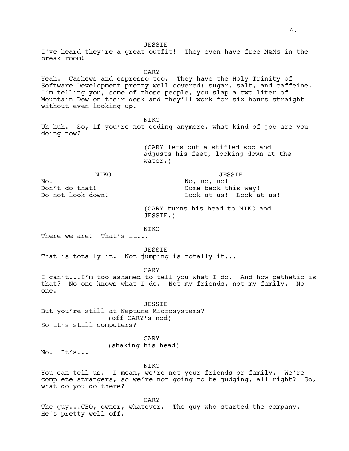|                                                                                                                                                                                                                                                                                                                   | JESSIE                                                                                                                                              |
|-------------------------------------------------------------------------------------------------------------------------------------------------------------------------------------------------------------------------------------------------------------------------------------------------------------------|-----------------------------------------------------------------------------------------------------------------------------------------------------|
| break room!                                                                                                                                                                                                                                                                                                       | I've heard they're a great outfit! They even have free M&Ms in the                                                                                  |
| CARY<br>Yeah. Cashews and espresso too. They have the Holy Trinity of<br>Software Development pretty well covered: sugar, salt, and caffeine.<br>I'm telling you, some of those people, you slap a two-liter of<br>Mountain Dew on their desk and they'll work for six hours straight<br>without even looking up. |                                                                                                                                                     |
| NIKO<br>Uh-huh. So, if you're not coding anymore, what kind of job are you<br>doing now?                                                                                                                                                                                                                          |                                                                                                                                                     |
|                                                                                                                                                                                                                                                                                                                   | (CARY lets out a stifled sob and<br>adjusts his feet, looking down at the<br>water.)                                                                |
| NIKO<br>No!<br>Don't do that!<br>Do not look down!                                                                                                                                                                                                                                                                | JESSIE<br>No, no, no!<br>Come back this way!<br>Look at us! Look at us!                                                                             |
|                                                                                                                                                                                                                                                                                                                   | (CARY turns his head to NIKO and<br>JESSIE.)                                                                                                        |
| There we are! That's it                                                                                                                                                                                                                                                                                           | NIKO                                                                                                                                                |
| That is totally it. Not jumping is totally it                                                                                                                                                                                                                                                                     | JESSIE                                                                                                                                              |
| one.                                                                                                                                                                                                                                                                                                              | <b>CARY</b><br>I can'tI'm too ashamed to tell you what I do. And how pathetic is<br>that? No one knows what I do. Not my friends, not my family. No |
| But you're still at Neptune Microsystems?<br>(off CARY's nod)<br>So it's still computers?                                                                                                                                                                                                                         | <b>JESSIE</b>                                                                                                                                       |
| No.<br>It's                                                                                                                                                                                                                                                                                                       | <b>CARY</b><br>(shaking his head)                                                                                                                   |
| what do you do there?                                                                                                                                                                                                                                                                                             | NIKO<br>You can tell us. I mean, we're not your friends or family. We're<br>complete strangers, so we're not going to be judging, all right? So,    |

The guy...CEO, owner, whatever. The guy who started the company. He's pretty well off.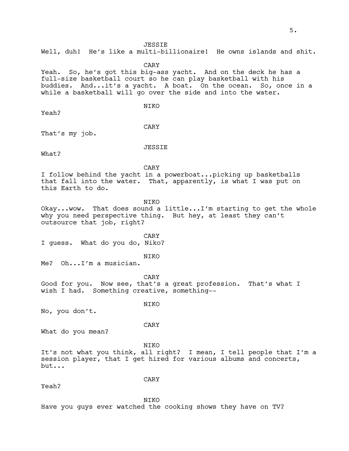JESSIE

Well, duh! He's like a multi-billionaire! He owns islands and shit.

CARY

Yeah. So, he's got this big-ass yacht. And on the deck he has a full-size basketball court so he can play basketball with his buddies. And...it's a yacht. A boat. On the ocean. So, once in a while a basketball will go over the side and into the water.

NIKO

Yeah?

CARY

That's my job.

JESSIE

What?

CARY

I follow behind the yacht in a powerboat...picking up basketballs that fall into the water. That, apparently, is what I was put on this Earth to do.

**NTKO** 

Okay...wow. That does sound a little...I'm starting to get the whole why you need perspective thing. But hey, at least they can't outsource that job, right?

CARY

I guess. What do you do, Niko?

NIKO

Me? Oh...I'm a musician.

CARY

Good for you. Now see, that's a great profession. That's what I wish I had. Something creative, something--

NIKO

No, you don't.

CARY

What do you mean?

NIKO

It's not what you think, all right? I mean, I tell people that I'm a session player, that I get hired for various albums and concerts, but...

Yeah?

CARY

NIKO

Have you guys ever watched the cooking shows they have on TV?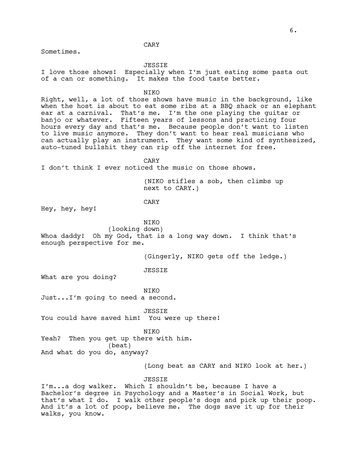Sometimes.

#### JESSIE

I love those shows! Especially when I'm just eating some pasta out of a can or something. It makes the food taste better.

## **NTKO**

Right, well, a lot of those shows have music in the background, like when the host is about to eat some ribs at a BBQ shack or an elephant ear at a carnival. That's me. I'm the one playing the quitar or banjo or whatever. Fifteen years of lessons and practicing four hours every day and that's me. Because people don't want to listen to live music anymore. They don't want to hear real musicians who can actually play an instrument. They want some kind of synthesized, auto-tuned bullshit they can rip off the internet for free.

#### CARY

I don't think I ever noticed the music on those shows.

(NIKO stifles a sob, then climbs up next to CARY.)

# CARY

Hey, hey, hey!

# NIKO

(looking down) Whoa daddy! Oh my God, that is a long way down. I think that's enough perspective for me.

(Gingerly, NIKO gets off the ledge.)

### JESSIE

What are you doing?

**NTKO** 

Just...I'm going to need a second.

JESSIE

You could have saved him! You were up there!

#### NIKO

Yeah? Then you get up there with him. (beat) And what do you do, anyway?

(Long beat as CARY and NIKO look at her.)

#### JESSIE

I'm...a dog walker. Which I shouldn't be, because I have a Bachelor's degree in Psychology and a Master's in Social Work, but that's what I do. I walk other people's dogs and pick up their poop. And it's a lot of poop, believe me. The dogs save it up for their walks, you know.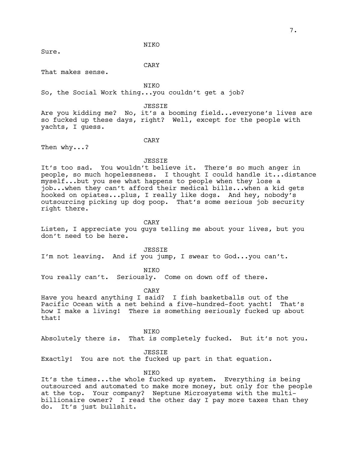NIKO

Sure.

CARY

That makes sense.

Then why...?

NIKO

So, the Social Work thing...you couldn't get a job?

JESSIE

CARY

Are you kidding me? No, it's a booming field...everyone's lives are so fucked up these days, right? Well, except for the people with yachts, I guess.

#### JESSIE

It's too sad. You wouldn't believe it. There's so much anger in people, so much hopelessness. I thought I could handle it...distance myself...but you see what happens to people when they lose a job...when they can't afford their medical bills...when a kid gets hooked on opiates...plus, I really like dogs. And hey, nobody's outsourcing picking up dog poop. That's some serious job security right there.

CARY

Listen, I appreciate you guys telling me about your lives, but you don't need to be here.

JESSIE

I'm not leaving. And if you jump, I swear to God...you can't.

NIKO

You really can't. Seriously. Come on down off of there.

CARY

Have you heard anything I said? I fish basketballs out of the Pacific Ocean with a net behind a five-hundred-foot yacht! That's how I make a living! There is something seriously fucked up about that!

NIKO

Absolutely there is. That is completely fucked. But it's not you.

JESSIE

Exactly! You are not the fucked up part in that equation.

NIKO

It's the times...the whole fucked up system. Everything is being outsourced and automated to make more money, but only for the people at the top. Your company? Neptune Microsystems with the multibillionaire owner? I read the other day I pay more taxes than they do. It's just bullshit.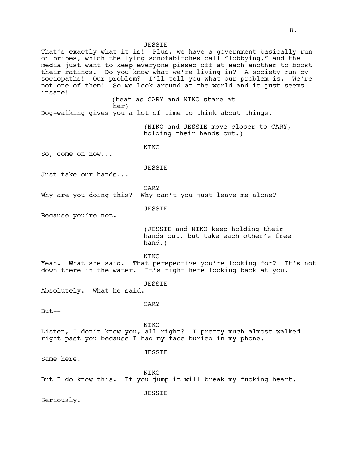JESSIE That's exactly what it is! Plus, we have a government basically run on bribes, which the lying sonofabitches call "lobbying," and the media just want to keep everyone pissed off at each another to boost their ratings. Do you know what we're living in? A society run by sociopaths! Our problem? I'll tell you what our problem is. We're not one of them! So we look around at the world and it just seems insane! (beat as CARY and NIKO stare at her) Dog-walking gives you a lot of time to think about things. (NIKO and JESSIE move closer to CARY, holding their hands out.) NIKO So, come on now... JESSIE Just take our hands... CARY Why are you doing this? Why can't you just leave me alone? JESSIE Because you're not. (JESSIE and NIKO keep holding their hands out, but take each other's free hand.) NIKO Yeah. What she said. That perspective you're looking for? It's not down there in the water. It's right here looking back at you. JESSIE Absolutely. What he said. CARY  $But--$ NIKO Listen, I don't know you, all right? I pretty much almost walked right past you because I had my face buried in my phone. JESSIE Same here. NIKO But I do know this. If you jump it will break my fucking heart. JESSIE Seriously.